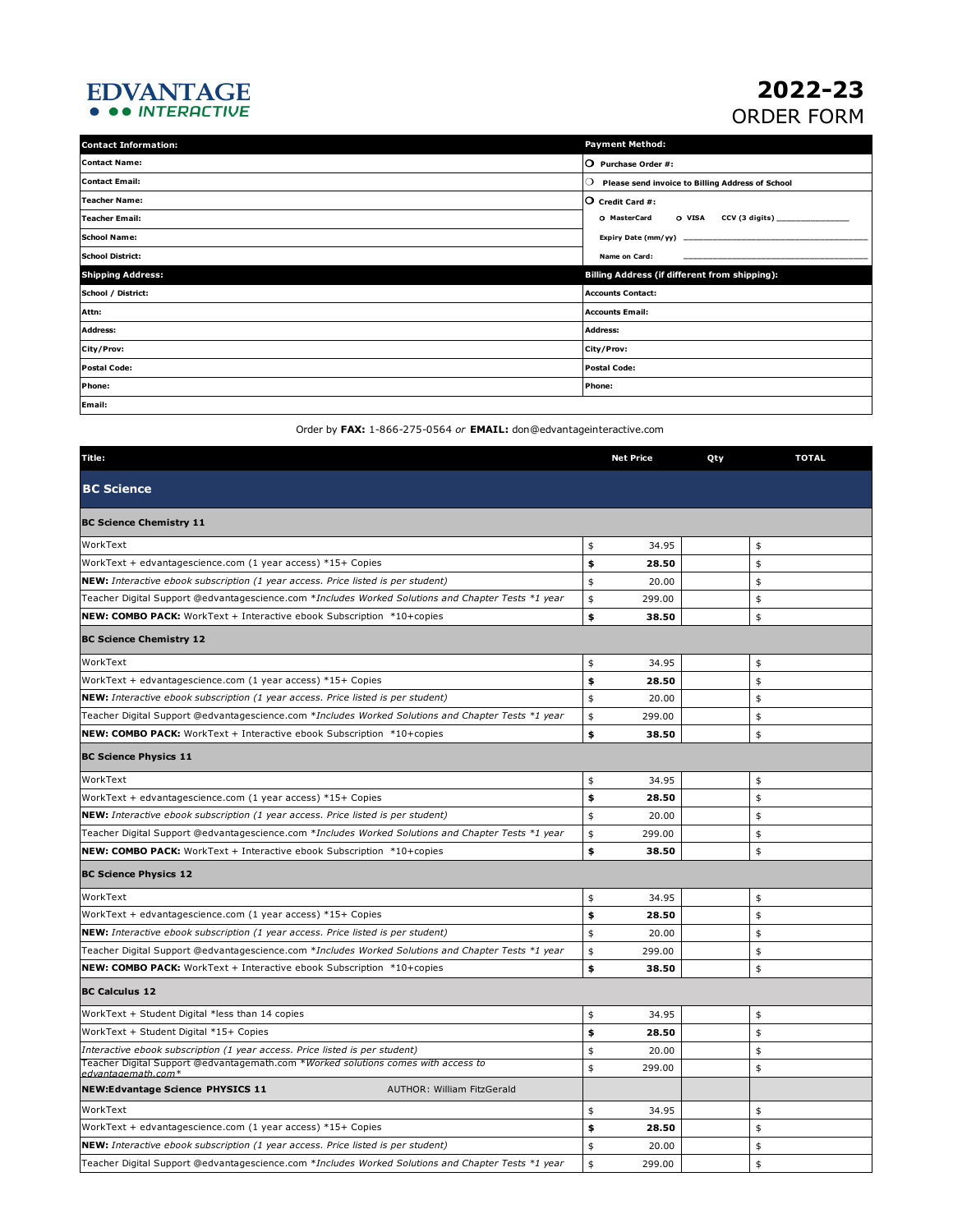## EDVANTAGE<br>• • • INTERACTIVE

## **2022-23** ORDER FORM

| <b>Contact Information:</b> | <b>Payment Method:</b>                                      |  |  |
|-----------------------------|-------------------------------------------------------------|--|--|
| <b>Contact Name:</b>        | O Purchase Order #:                                         |  |  |
| <b>Contact Email:</b>       | Please send invoice to Billing Address of School<br>$\circ$ |  |  |
| Teacher Name:               | $\overline{O}$ Credit Card #:                               |  |  |
| Teacher Email:              | O MasterCard O VISA CCV (3 digits) _____________            |  |  |
| <b>School Name:</b>         |                                                             |  |  |
| <b>School District:</b>     | Name on Card:                                               |  |  |
| <b>Shipping Address:</b>    | <b>Billing Address (if different from shipping):</b>        |  |  |
| School / District:          | <b>Accounts Contact:</b>                                    |  |  |
| Attn:                       | <b>Accounts Email:</b>                                      |  |  |
| <b>Address:</b>             | <b>Address:</b>                                             |  |  |
| City/Prov:                  | City/Prov:                                                  |  |  |
| <b>Postal Code:</b>         | <b>Postal Code:</b>                                         |  |  |
| Phone:                      | Phone:                                                      |  |  |
| Email:                      |                                                             |  |  |

Order by **FAX:** 1-866-275-0564 *or* **EMAIL:** don@edvantageinteractive.com

| Title:                                                                                                  | <b>Net Price</b> | Qty | <b>TOTAL</b> |
|---------------------------------------------------------------------------------------------------------|------------------|-----|--------------|
| <b>BC Science</b>                                                                                       |                  |     |              |
| <b>BC Science Chemistry 11</b>                                                                          |                  |     |              |
| WorkText                                                                                                | \$<br>34.95      |     | \$           |
| WorkText + edvantagescience.com (1 year access) *15+ Copies                                             | \$<br>28.50      |     | \$           |
| NEW: Interactive ebook subscription (1 year access. Price listed is per student)                        | \$<br>20.00      |     | \$           |
| Teacher Digital Support @edvantagescience.com *Includes Worked Solutions and Chapter Tests *1 year      | \$<br>299.00     |     | \$           |
| NEW: COMBO PACK: WorkText + Interactive ebook Subscription *10+copies                                   | \$<br>38.50      |     | \$           |
| <b>BC Science Chemistry 12</b>                                                                          |                  |     |              |
| WorkText                                                                                                | \$<br>34.95      |     | \$           |
| WorkText + edvantagescience.com (1 year access) *15+ Copies                                             | \$<br>28.50      |     | \$           |
| NEW: Interactive ebook subscription (1 year access. Price listed is per student)                        | \$<br>20.00      |     | \$           |
| Teacher Digital Support @edvantagescience.com *Includes Worked Solutions and Chapter Tests *1 year      | \$<br>299.00     |     | \$           |
| NEW: COMBO PACK: WorkText + Interactive ebook Subscription *10+copies                                   | \$<br>38.50      |     | \$           |
| <b>BC Science Physics 11</b>                                                                            |                  |     |              |
| WorkText                                                                                                | \$<br>34.95      |     | \$           |
| WorkText + edvantagescience.com (1 year access) *15+ Copies                                             | \$<br>28.50      |     | \$           |
| NEW: Interactive ebook subscription (1 year access. Price listed is per student)                        | \$<br>20.00      |     | \$           |
| Teacher Digital Support @edvantagescience.com *Includes Worked Solutions and Chapter Tests *1 year      | \$<br>299.00     |     | \$           |
| <b>NEW: COMBO PACK:</b> WorkText + Interactive ebook Subscription *10+copies                            | \$<br>38.50      |     | \$           |
| <b>BC Science Physics 12</b>                                                                            |                  |     |              |
| WorkText                                                                                                | \$<br>34.95      |     | \$           |
| WorkText + edvantagescience.com (1 year access) *15+ Copies                                             | \$<br>28.50      |     | \$           |
| NEW: Interactive ebook subscription (1 year access. Price listed is per student)                        | \$<br>20.00      |     | \$           |
| Teacher Digital Support @edvantagescience.com *Includes Worked Solutions and Chapter Tests *1 year      | \$<br>299.00     |     | \$           |
| <b>NEW: COMBO PACK:</b> WorkText + Interactive ebook Subscription *10+copies                            | \$<br>38.50      |     | \$           |
| <b>BC Calculus 12</b>                                                                                   |                  |     |              |
| WorkText + Student Digital *less than 14 copies                                                         | \$<br>34.95      |     | \$           |
| WorkText + Student Digital *15+ Copies                                                                  | \$<br>28.50      |     | \$           |
| Interactive ebook subscription (1 year access. Price listed is per student)                             | \$<br>20.00      |     | \$           |
| Teacher Digital Support @edvantagemath.com *Worked solutions comes with access to<br>edvantagemath.com* | \$<br>299.00     |     | \$           |
| <b>NEW:Edvantage Science PHYSICS 11</b><br>AUTHOR: William FitzGerald                                   |                  |     |              |
| WorkText                                                                                                | \$<br>34.95      |     | \$           |
| WorkText + edvantagescience.com (1 year access) *15+ Copies                                             | \$<br>28.50      |     | \$           |
| NEW: Interactive ebook subscription (1 year access. Price listed is per student)                        | \$<br>20.00      |     | \$           |
| Teacher Digital Support @edvantagescience.com *Includes Worked Solutions and Chapter Tests *1 year      | \$<br>299.00     |     | \$           |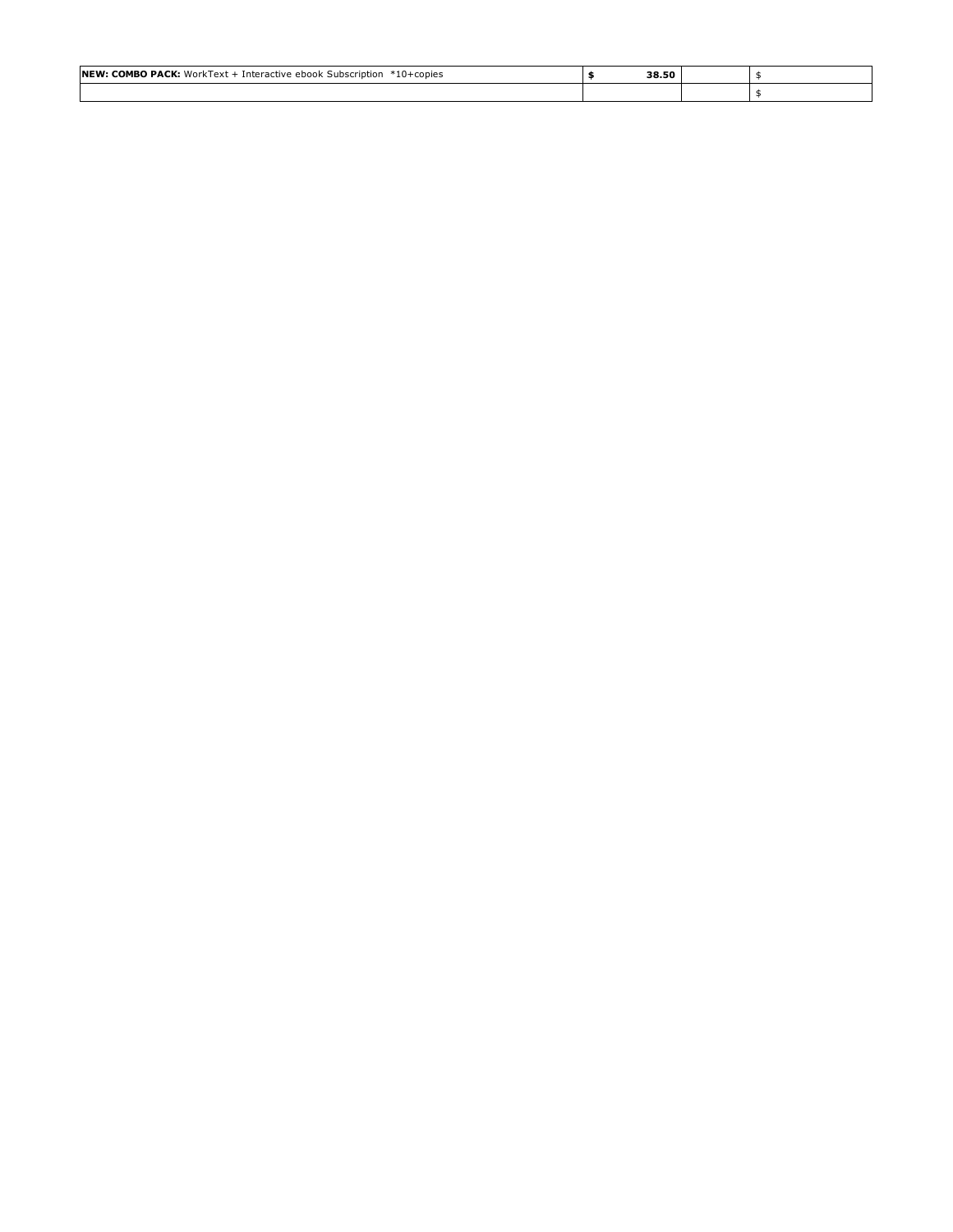| <b>NEW: COMBO PACK:</b> WorkText + Interactive ebook Subscription<br>*10+copies | 38.50<br>___ |  |
|---------------------------------------------------------------------------------|--------------|--|
|                                                                                 |              |  |